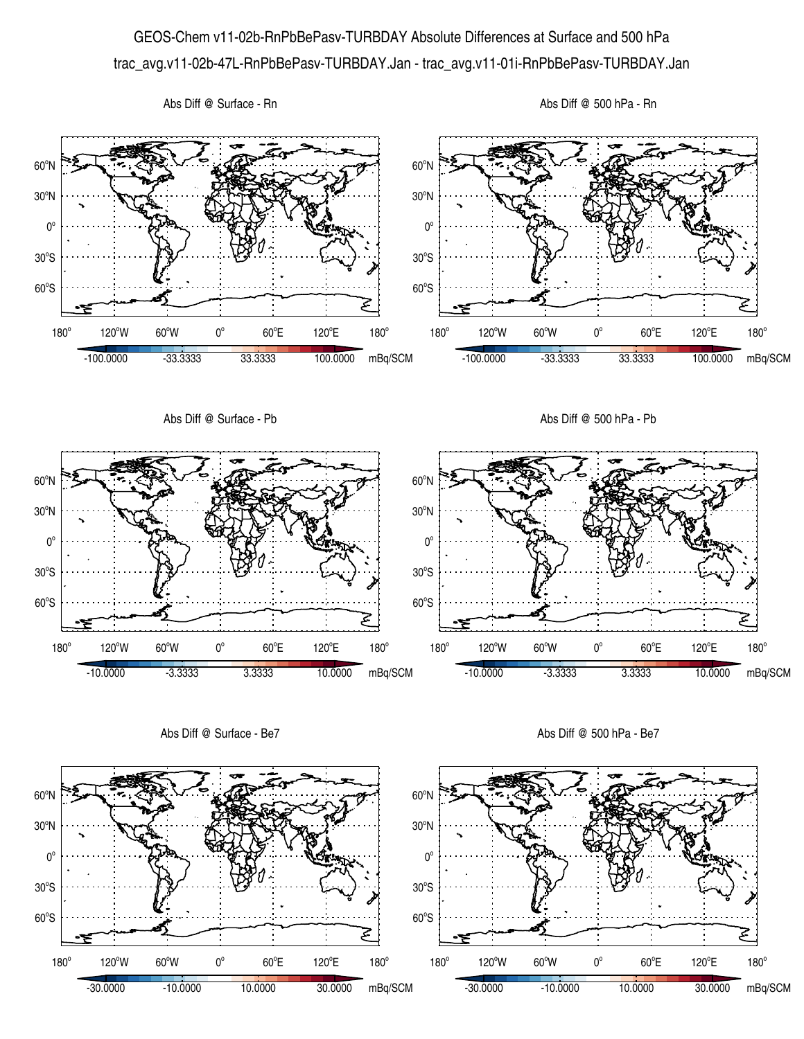## GEOS-Chem v11-02b-RnPbBePasv-TURBDAY Absolute Differences at Surface and 500 hPa trac\_avg.v11-02b-47L-RnPbBePasv-TURBDAY.Jan - trac\_avg.v11-01i-RnPbBePasv-TURBDAY.Jan







Abs Diff @ Surface - Be7

Abs Diff @ 500 hPa - Be7